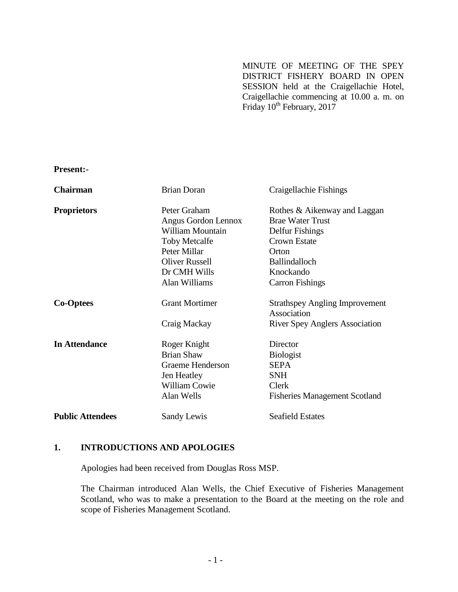MINUTE OF MEETING OF THE SPEY DISTRICT FISHERY BOARD IN OPEN SESSION held at the Craigellachie Hotel, Craigellachie commencing at 10.00 a. m. on Friday  $10^{th}$  February, 2017

**Present:-**

| <b>Chairman</b>         | <b>Brian Doran</b>      | Craigellachie Fishings                               |
|-------------------------|-------------------------|------------------------------------------------------|
| <b>Proprietors</b>      | Peter Graham            | Rothes & Aikenway and Laggan                         |
|                         | Angus Gordon Lennox     | <b>Brae Water Trust</b>                              |
|                         | <b>William Mountain</b> | Delfur Fishings                                      |
|                         | <b>Toby Metcalfe</b>    | <b>Crown Estate</b>                                  |
|                         | Peter Millar            | Orton                                                |
|                         | <b>Oliver Russell</b>   | <b>Ballindalloch</b>                                 |
|                         | Dr CMH Wills            | Knockando                                            |
|                         | Alan Williams           | <b>Carron Fishings</b>                               |
| <b>Co-Optees</b>        | <b>Grant Mortimer</b>   | <b>Strathspey Angling Improvement</b><br>Association |
|                         | Craig Mackay            | <b>River Spey Anglers Association</b>                |
| <b>In Attendance</b>    | Roger Knight            | Director                                             |
|                         | <b>Brian Shaw</b>       | <b>Biologist</b>                                     |
|                         | Graeme Henderson        | <b>SEPA</b>                                          |
|                         | Jen Heatley             | <b>SNH</b>                                           |
|                         | <b>William Cowie</b>    | Clerk                                                |
|                         | Alan Wells              | <b>Fisheries Management Scotland</b>                 |
| <b>Public Attendees</b> | Sandy Lewis             | <b>Seafield Estates</b>                              |

# **1. INTRODUCTIONS AND APOLOGIES**

Apologies had been received from Douglas Ross MSP.

The Chairman introduced Alan Wells, the Chief Executive of Fisheries Management Scotland, who was to make a presentation to the Board at the meeting on the role and scope of Fisheries Management Scotland.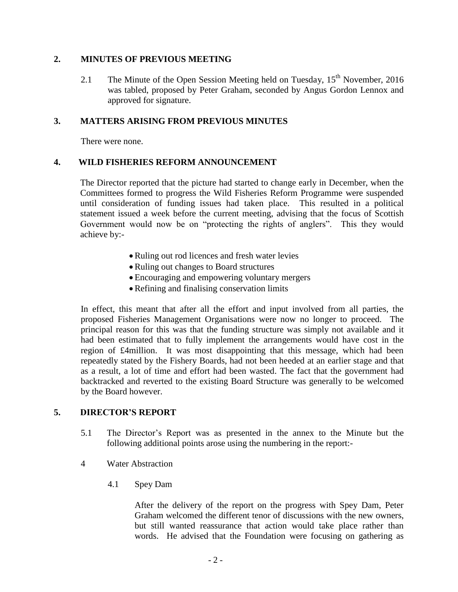### **2. MINUTES OF PREVIOUS MEETING**

2.1 The Minute of the Open Session Meeting held on Tuesday,  $15<sup>th</sup>$  November, 2016 was tabled, proposed by Peter Graham, seconded by Angus Gordon Lennox and approved for signature.

## **3. MATTERS ARISING FROM PREVIOUS MINUTES**

There were none.

### **4. WILD FISHERIES REFORM ANNOUNCEMENT**

The Director reported that the picture had started to change early in December, when the Committees formed to progress the Wild Fisheries Reform Programme were suspended until consideration of funding issues had taken place. This resulted in a political statement issued a week before the current meeting, advising that the focus of Scottish Government would now be on "protecting the rights of anglers". This they would achieve by:-

- Ruling out rod licences and fresh water levies
- Ruling out changes to Board structures
- Encouraging and empowering voluntary mergers
- Refining and finalising conservation limits

In effect, this meant that after all the effort and input involved from all parties, the proposed Fisheries Management Organisations were now no longer to proceed. The principal reason for this was that the funding structure was simply not available and it had been estimated that to fully implement the arrangements would have cost in the region of £4million. It was most disappointing that this message, which had been repeatedly stated by the Fishery Boards, had not been heeded at an earlier stage and that as a result, a lot of time and effort had been wasted. The fact that the government had backtracked and reverted to the existing Board Structure was generally to be welcomed by the Board however.

### **5. DIRECTOR'S REPORT**

- 5.1 The Director's Report was as presented in the annex to the Minute but the following additional points arose using the numbering in the report:-
- 4 Water Abstraction
	- 4.1 Spey Dam

After the delivery of the report on the progress with Spey Dam, Peter Graham welcomed the different tenor of discussions with the new owners, but still wanted reassurance that action would take place rather than words. He advised that the Foundation were focusing on gathering as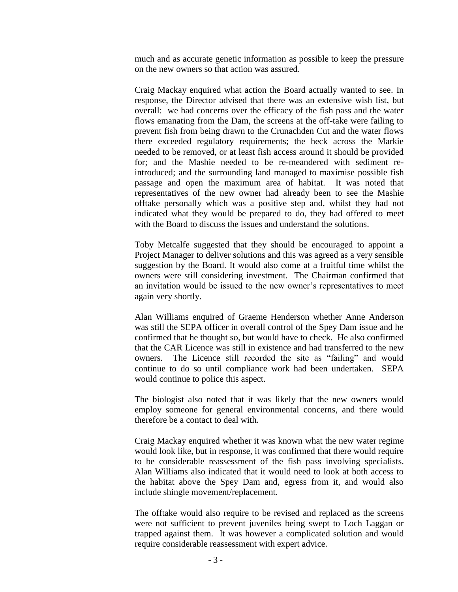much and as accurate genetic information as possible to keep the pressure on the new owners so that action was assured.

Craig Mackay enquired what action the Board actually wanted to see. In response, the Director advised that there was an extensive wish list, but overall: we had concerns over the efficacy of the fish pass and the water flows emanating from the Dam, the screens at the off-take were failing to prevent fish from being drawn to the Crunachden Cut and the water flows there exceeded regulatory requirements; the heck across the Markie needed to be removed, or at least fish access around it should be provided for; and the Mashie needed to be re-meandered with sediment reintroduced; and the surrounding land managed to maximise possible fish passage and open the maximum area of habitat. It was noted that representatives of the new owner had already been to see the Mashie offtake personally which was a positive step and, whilst they had not indicated what they would be prepared to do, they had offered to meet with the Board to discuss the issues and understand the solutions.

Toby Metcalfe suggested that they should be encouraged to appoint a Project Manager to deliver solutions and this was agreed as a very sensible suggestion by the Board. It would also come at a fruitful time whilst the owners were still considering investment. The Chairman confirmed that an invitation would be issued to the new owner's representatives to meet again very shortly.

Alan Williams enquired of Graeme Henderson whether Anne Anderson was still the SEPA officer in overall control of the Spey Dam issue and he confirmed that he thought so, but would have to check. He also confirmed that the CAR Licence was still in existence and had transferred to the new owners. The Licence still recorded the site as "failing" and would continue to do so until compliance work had been undertaken. SEPA would continue to police this aspect.

The biologist also noted that it was likely that the new owners would employ someone for general environmental concerns, and there would therefore be a contact to deal with.

Craig Mackay enquired whether it was known what the new water regime would look like, but in response, it was confirmed that there would require to be considerable reassessment of the fish pass involving specialists. Alan Williams also indicated that it would need to look at both access to the habitat above the Spey Dam and, egress from it, and would also include shingle movement/replacement.

The offtake would also require to be revised and replaced as the screens were not sufficient to prevent juveniles being swept to Loch Laggan or trapped against them. It was however a complicated solution and would require considerable reassessment with expert advice.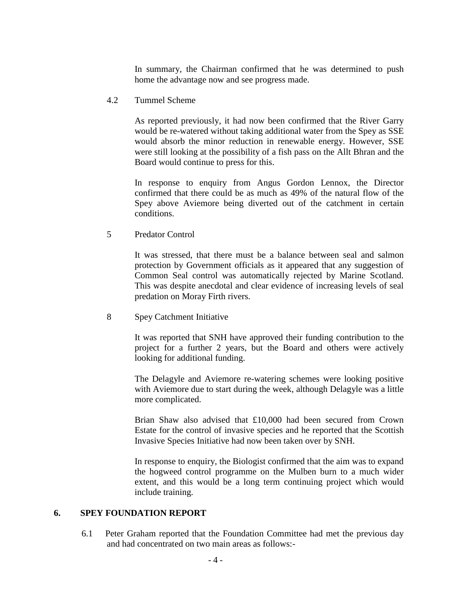In summary, the Chairman confirmed that he was determined to push home the advantage now and see progress made.

4.2 Tummel Scheme

As reported previously, it had now been confirmed that the River Garry would be re-watered without taking additional water from the Spey as SSE would absorb the minor reduction in renewable energy. However, SSE were still looking at the possibility of a fish pass on the Allt Bhran and the Board would continue to press for this.

In response to enquiry from Angus Gordon Lennox, the Director confirmed that there could be as much as 49% of the natural flow of the Spey above Aviemore being diverted out of the catchment in certain conditions.

5 Predator Control

It was stressed, that there must be a balance between seal and salmon protection by Government officials as it appeared that any suggestion of Common Seal control was automatically rejected by Marine Scotland. This was despite anecdotal and clear evidence of increasing levels of seal predation on Moray Firth rivers.

8 Spey Catchment Initiative

It was reported that SNH have approved their funding contribution to the project for a further 2 years, but the Board and others were actively looking for additional funding.

The Delagyle and Aviemore re-watering schemes were looking positive with Aviemore due to start during the week, although Delagyle was a little more complicated.

Brian Shaw also advised that £10,000 had been secured from Crown Estate for the control of invasive species and he reported that the Scottish Invasive Species Initiative had now been taken over by SNH.

In response to enquiry, the Biologist confirmed that the aim was to expand the hogweed control programme on the Mulben burn to a much wider extent, and this would be a long term continuing project which would include training.

#### **6. SPEY FOUNDATION REPORT**

6.1 Peter Graham reported that the Foundation Committee had met the previous day and had concentrated on two main areas as follows:-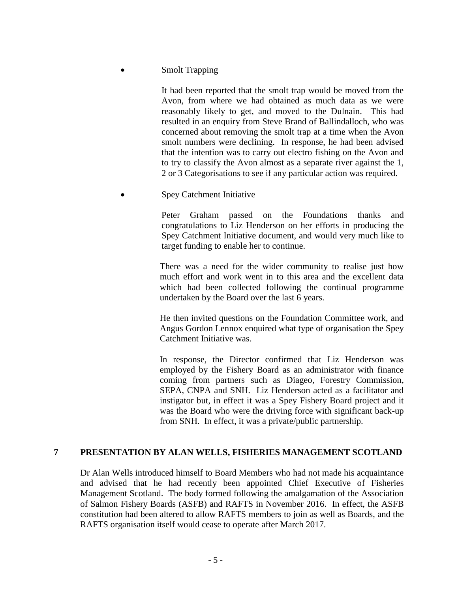Smolt Trapping

It had been reported that the smolt trap would be moved from the Avon, from where we had obtained as much data as we were reasonably likely to get, and moved to the Dulnain. This had resulted in an enquiry from Steve Brand of Ballindalloch, who was concerned about removing the smolt trap at a time when the Avon smolt numbers were declining. In response, he had been advised that the intention was to carry out electro fishing on the Avon and to try to classify the Avon almost as a separate river against the 1, 2 or 3 Categorisations to see if any particular action was required.

Spey Catchment Initiative

Peter Graham passed on the Foundations thanks and congratulations to Liz Henderson on her efforts in producing the Spey Catchment Initiative document, and would very much like to target funding to enable her to continue.

There was a need for the wider community to realise just how much effort and work went in to this area and the excellent data which had been collected following the continual programme undertaken by the Board over the last 6 years.

He then invited questions on the Foundation Committee work, and Angus Gordon Lennox enquired what type of organisation the Spey Catchment Initiative was.

In response, the Director confirmed that Liz Henderson was employed by the Fishery Board as an administrator with finance coming from partners such as Diageo, Forestry Commission, SEPA, CNPA and SNH. Liz Henderson acted as a facilitator and instigator but, in effect it was a Spey Fishery Board project and it was the Board who were the driving force with significant back-up from SNH. In effect, it was a private/public partnership.

### **7 PRESENTATION BY ALAN WELLS, FISHERIES MANAGEMENT SCOTLAND**

Dr Alan Wells introduced himself to Board Members who had not made his acquaintance and advised that he had recently been appointed Chief Executive of Fisheries Management Scotland. The body formed following the amalgamation of the Association of Salmon Fishery Boards (ASFB) and RAFTS in November 2016. In effect, the ASFB constitution had been altered to allow RAFTS members to join as well as Boards, and the RAFTS organisation itself would cease to operate after March 2017.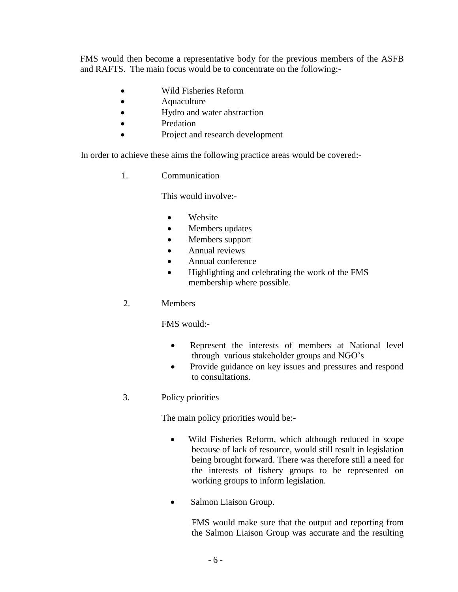FMS would then become a representative body for the previous members of the ASFB and RAFTS. The main focus would be to concentrate on the following:-

- Wild Fisheries Reform
- **Aquaculture**
- Hydro and water abstraction
- Predation
- Project and research development

In order to achieve these aims the following practice areas would be covered:-

1. Communication

This would involve:-

- Website
- Members updates
- Members support
- Annual reviews
- Annual conference
- Highlighting and celebrating the work of the FMS membership where possible.
- 2. Members

FMS would:-

- Represent the interests of members at National level through various stakeholder groups and NGO's
- Provide guidance on key issues and pressures and respond to consultations.
- 3. Policy priorities

The main policy priorities would be:-

- Wild Fisheries Reform, which although reduced in scope because of lack of resource, would still result in legislation being brought forward. There was therefore still a need for the interests of fishery groups to be represented on working groups to inform legislation.
- Salmon Liaison Group.

FMS would make sure that the output and reporting from the Salmon Liaison Group was accurate and the resulting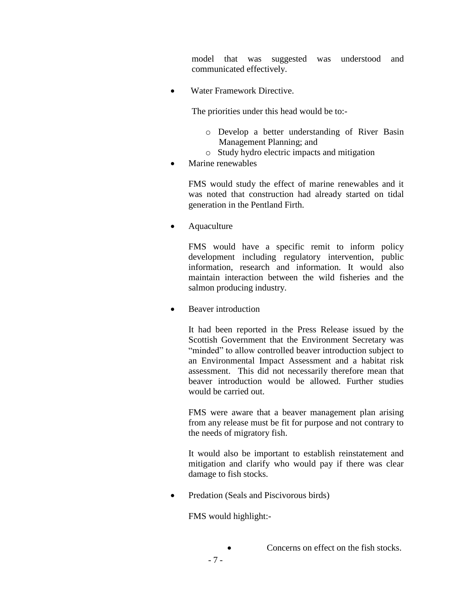model that was suggested was understood and communicated effectively.

• Water Framework Directive.

The priorities under this head would be to:-

- o Develop a better understanding of River Basin Management Planning; and
- o Study hydro electric impacts and mitigation
- Marine renewables

FMS would study the effect of marine renewables and it was noted that construction had already started on tidal generation in the Pentland Firth.

• Aquaculture

FMS would have a specific remit to inform policy development including regulatory intervention, public information, research and information. It would also maintain interaction between the wild fisheries and the salmon producing industry.

• Beaver introduction

It had been reported in the Press Release issued by the Scottish Government that the Environment Secretary was "minded" to allow controlled beaver introduction subject to an Environmental Impact Assessment and a habitat risk assessment. This did not necessarily therefore mean that beaver introduction would be allowed. Further studies would be carried out.

FMS were aware that a beaver management plan arising from any release must be fit for purpose and not contrary to the needs of migratory fish.

It would also be important to establish reinstatement and mitigation and clarify who would pay if there was clear damage to fish stocks.

• Predation (Seals and Piscivorous birds)

FMS would highlight:-

Concerns on effect on the fish stocks.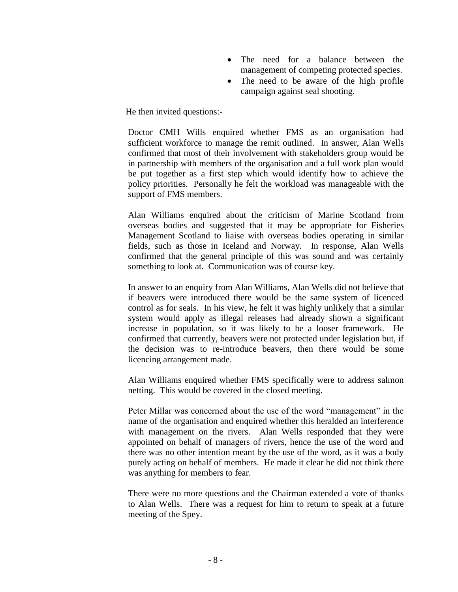- The need for a balance between the management of competing protected species.
- The need to be aware of the high profile campaign against seal shooting.

He then invited questions:-

 Doctor CMH Wills enquired whether FMS as an organisation had sufficient workforce to manage the remit outlined. In answer, Alan Wells confirmed that most of their involvement with stakeholders group would be in partnership with members of the organisation and a full work plan would be put together as a first step which would identify how to achieve the policy priorities. Personally he felt the workload was manageable with the support of FMS members.

Alan Williams enquired about the criticism of Marine Scotland from overseas bodies and suggested that it may be appropriate for Fisheries Management Scotland to liaise with overseas bodies operating in similar fields, such as those in Iceland and Norway. In response, Alan Wells confirmed that the general principle of this was sound and was certainly something to look at. Communication was of course key.

In answer to an enquiry from Alan Williams, Alan Wells did not believe that if beavers were introduced there would be the same system of licenced control as for seals. In his view, he felt it was highly unlikely that a similar system would apply as illegal releases had already shown a significant increase in population, so it was likely to be a looser framework. He confirmed that currently, beavers were not protected under legislation but, if the decision was to re-introduce beavers, then there would be some licencing arrangement made.

Alan Williams enquired whether FMS specifically were to address salmon netting. This would be covered in the closed meeting.

Peter Millar was concerned about the use of the word "management" in the name of the organisation and enquired whether this heralded an interference with management on the rivers. Alan Wells responded that they were appointed on behalf of managers of rivers, hence the use of the word and there was no other intention meant by the use of the word, as it was a body purely acting on behalf of members. He made it clear he did not think there was anything for members to fear.

There were no more questions and the Chairman extended a vote of thanks to Alan Wells. There was a request for him to return to speak at a future meeting of the Spey.